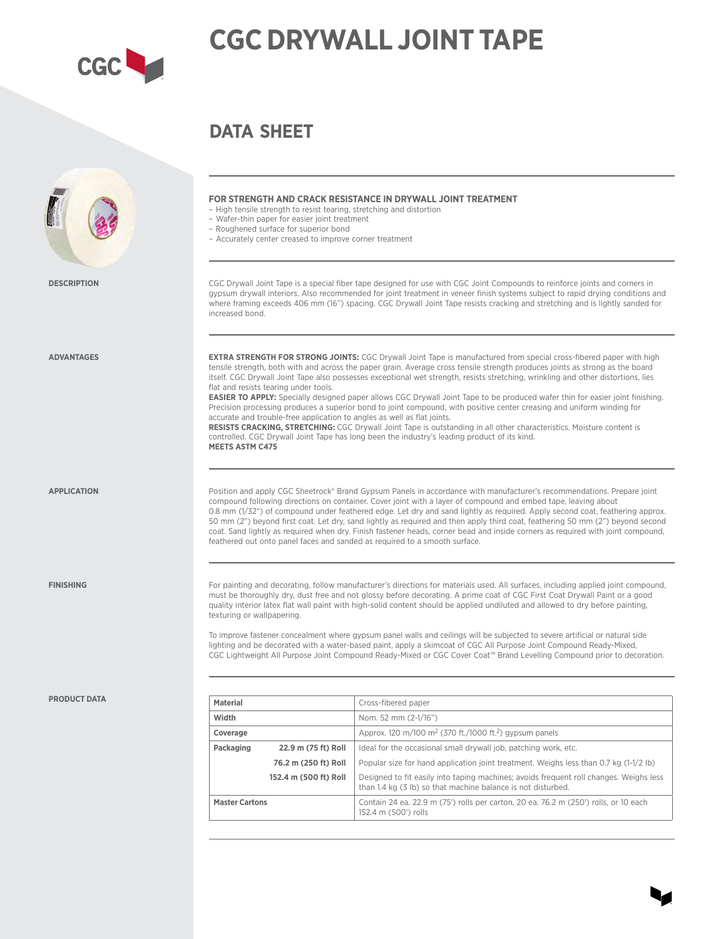

# **CGC DRYWALL JOINT TAPE**

**DATA SHEET**